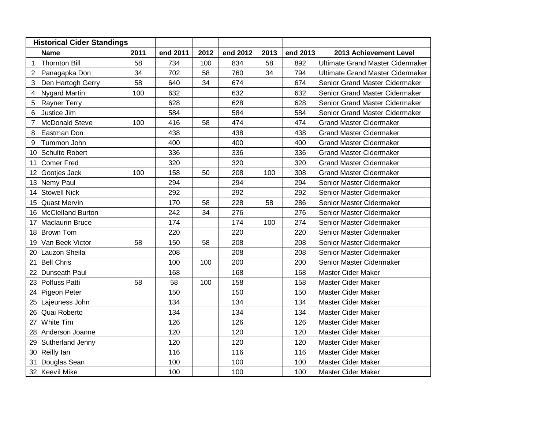| <b>Historical Cider Standings</b> |                      |      |          |      |          |      |          |                                         |
|-----------------------------------|----------------------|------|----------|------|----------|------|----------|-----------------------------------------|
|                                   | <b>Name</b>          | 2011 | end 2011 | 2012 | end 2012 | 2013 | end 2013 | 2013 Achievement Level                  |
| 1                                 | <b>Thornton Bill</b> | 58   | 734      | 100  | 834      | 58   | 892      | <b>Ultimate Grand Master Cidermaker</b> |
| $\overline{2}$                    | Panagapka Don        | 34   | 702      | 58   | 760      | 34   | 794      | <b>Ultimate Grand Master Cidermaker</b> |
| 3                                 | Den Hartogh Gerry    | 58   | 640      | 34   | 674      |      | 674      | Senior Grand Master Cidermaker          |
| 4                                 | <b>Nygard Martin</b> | 100  | 632      |      | 632      |      | 632      | Senior Grand Master Cidermaker          |
| 5                                 | <b>Rayner Terry</b>  |      | 628      |      | 628      |      | 628      | Senior Grand Master Cidermaker          |
| 6                                 | Justice Jim          |      | 584      |      | 584      |      | 584      | Senior Grand Master Cidermaker          |
| 7                                 | McDonald Steve       | 100  | 416      | 58   | 474      |      | 474      | <b>Grand Master Cidermaker</b>          |
| 8                                 | Eastman Don          |      | 438      |      | 438      |      | 438      | <b>Grand Master Cidermaker</b>          |
| 9                                 | Tummon John          |      | 400      |      | 400      |      | 400      | <b>Grand Master Cidermaker</b>          |
| 10                                | Schulte Robert       |      | 336      |      | 336      |      | 336      | <b>Grand Master Cidermaker</b>          |
| 11                                | Comer Fred           |      | 320      |      | 320      |      | 320      | <b>Grand Master Cidermaker</b>          |
| 12                                | Gootjes Jack         | 100  | 158      | 50   | 208      | 100  | 308      | <b>Grand Master Cidermaker</b>          |
| 13                                | Nemy Paul            |      | 294      |      | 294      |      | 294      | Senior Master Cidermaker                |
| 14                                | <b>Stowell Nick</b>  |      | 292      |      | 292      |      | 292      | Senior Master Cidermaker                |
| 15                                | Quast Mervin         |      | 170      | 58   | 228      | 58   | 286      | Senior Master Cidermaker                |
| 16                                | McClelland Burton    |      | 242      | 34   | 276      |      | 276      | Senior Master Cidermaker                |
| 17                                | Maclaurin Bruce      |      | 174      |      | 174      | 100  | 274      | Senior Master Cidermaker                |
| 18                                | Brown Tom            |      | 220      |      | 220      |      | 220      | Senior Master Cidermaker                |
| 19                                | Van Beek Victor      | 58   | 150      | 58   | 208      |      | 208      | Senior Master Cidermaker                |
| 20                                | Lauzon Sheila        |      | 208      |      | 208      |      | 208      | Senior Master Cidermaker                |
| 21                                | <b>Bell Chris</b>    |      | 100      | 100  | 200      |      | 200      | Senior Master Cidermaker                |
| 22                                | Dunseath Paul        |      | 168      |      | 168      |      | 168      | Master Cider Maker                      |
| 23                                | Polfuss Patti        | 58   | 58       | 100  | 158      |      | 158      | Master Cider Maker                      |
| 24                                | Pigeon Peter         |      | 150      |      | 150      |      | 150      | Master Cider Maker                      |
| 25                                | Lajeuness John       |      | 134      |      | 134      |      | 134      | <b>Master Cider Maker</b>               |
| 26                                | Quai Roberto         |      | 134      |      | 134      |      | 134      | Master Cider Maker                      |
| 27                                | White Tim            |      | 126      |      | 126      |      | 126      | Master Cider Maker                      |
| 28                                | Anderson Joanne      |      | 120      |      | 120      |      | 120      | <b>Master Cider Maker</b>               |
| 29                                | Sutherland Jenny     |      | 120      |      | 120      |      | 120      | <b>Master Cider Maker</b>               |
| 30                                | Reilly lan           |      | 116      |      | 116      |      | 116      | Master Cider Maker                      |
| 31                                | Douglas Sean         |      | 100      |      | 100      |      | 100      | <b>Master Cider Maker</b>               |
|                                   | 32 Keevil Mike       |      | 100      |      | 100      |      | 100      | Master Cider Maker                      |